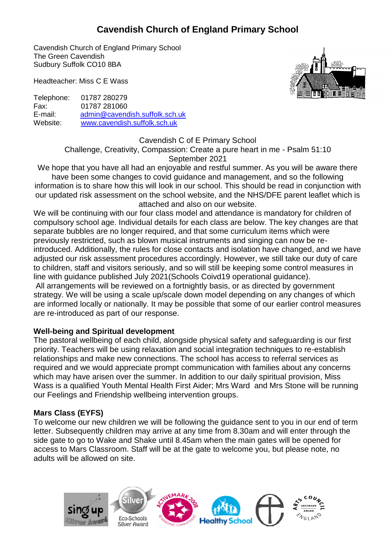# **Cavendish Church of England Primary School**

Cavendish Church of England Primary School The Green Cavendish Sudbury Suffolk CO10 8BA

Headteacher: Miss C E Wass

Telephone: 01787 280279 Fax: 01787 281060 E-mail: [admin@cavendish.suffolk.sch.uk](mailto:ad.cavendish.p@talk21.com) Website: [www.cavendish.suffolk.sch.uk](http://www.cavendish.suffolk.sch.uk/) 

Cavendish C of E Primary School Challenge, Creativity, Compassion: Create a pure heart in me - Psalm 51:10 September 2021

We hope that you have all had an enjoyable and restful summer. As you will be aware there have been some changes to covid guidance and management, and so the following information is to share how this will look in our school. This should be read in conjunction with our updated risk assessment on the school website, and the NHS/DFE parent leaflet which is attached and also on our website.

We will be continuing with our four class model and attendance is mandatory for children of compulsory school age. Individual details for each class are below. The key changes are that separate bubbles are no longer required, and that some curriculum items which were previously restricted, such as blown musical instruments and singing can now be reintroduced. Additionally, the rules for close contacts and isolation have changed, and we have adjusted our risk assessment procedures accordingly. However, we still take our duty of care to children, staff and visitors seriously, and so will still be keeping some control measures in line with guidance published July 2021(Schools Coivd19 operational guidance). All arrangements will be reviewed on a fortnightly basis, or as directed by government strategy. We will be using a scale up/scale down model depending on any changes of which are informed locally or nationally. It may be possible that some of our earlier control measures are re-introduced as part of our response.

#### **Well-being and Spiritual development**

The pastoral wellbeing of each child, alongside physical safety and safeguarding is our first priority. Teachers will be using relaxation and social integration techniques to re-establish relationships and make new connections. The school has access to referral services as required and we would appreciate prompt communication with families about any concerns which may have arisen over the summer. In addition to our daily spiritual provision, Miss Wass is a qualified Youth Mental Health First Aider; Mrs Ward and Mrs Stone will be running our Feelings and Friendship wellbeing intervention groups.

#### **Mars Class (EYFS)**

To welcome our new children we will be following the guidance sent to you in our end of term letter. Subsequently children may arrive at any time from 8.30am and will enter through the side gate to go to Wake and Shake until 8.45am when the main gates will be opened for access to Mars Classroom. Staff will be at the gate to welcome you, but please note, no adults will be allowed on site.

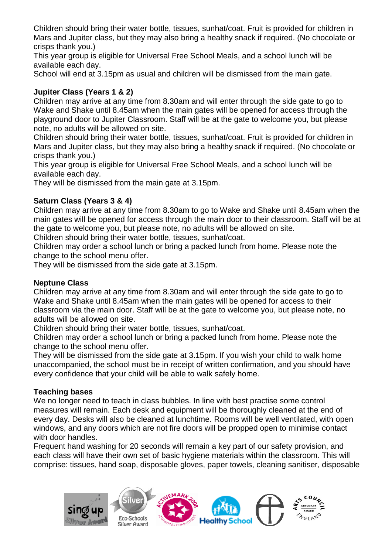Children should bring their water bottle, tissues, sunhat/coat. Fruit is provided for children in Mars and Jupiter class, but they may also bring a healthy snack if required. (No chocolate or crisps thank you.)

This year group is eligible for Universal Free School Meals, and a school lunch will be available each day.

School will end at 3.15pm as usual and children will be dismissed from the main gate.

# **Jupiter Class (Years 1 & 2)**

Children may arrive at any time from 8.30am and will enter through the side gate to go to Wake and Shake until 8.45am when the main gates will be opened for access through the playground door to Jupiter Classroom. Staff will be at the gate to welcome you, but please note, no adults will be allowed on site.

Children should bring their water bottle, tissues, sunhat/coat. Fruit is provided for children in Mars and Jupiter class, but they may also bring a healthy snack if required. (No chocolate or crisps thank you.)

This year group is eligible for Universal Free School Meals, and a school lunch will be available each day.

They will be dismissed from the main gate at 3.15pm.

# **Saturn Class (Years 3 & 4)**

Children may arrive at any time from 8.30am to go to Wake and Shake until 8.45am when the main gates will be opened for access through the main door to their classroom. Staff will be at the gate to welcome you, but please note, no adults will be allowed on site.

Children should bring their water bottle, tissues, sunhat/coat.

Children may order a school lunch or bring a packed lunch from home. Please note the change to the school menu offer.

They will be dismissed from the side gate at 3.15pm.

#### **Neptune Class**

Children may arrive at any time from 8.30am and will enter through the side gate to go to Wake and Shake until 8.45am when the main gates will be opened for access to their classroom via the main door. Staff will be at the gate to welcome you, but please note, no adults will be allowed on site.

Children should bring their water bottle, tissues, sunhat/coat.

Children may order a school lunch or bring a packed lunch from home. Please note the change to the school menu offer.

They will be dismissed from the side gate at 3.15pm. If you wish your child to walk home unaccompanied, the school must be in receipt of written confirmation, and you should have every confidence that your child will be able to walk safely home.

#### **Teaching bases**

We no longer need to teach in class bubbles. In line with best practise some control measures will remain. Each desk and equipment will be thoroughly cleaned at the end of every day. Desks will also be cleaned at lunchtime. Rooms will be well ventilated, with open windows, and any doors which are not fire doors will be propped open to minimise contact with door handles.

Frequent hand washing for 20 seconds will remain a key part of our safety provision, and each class will have their own set of basic hygiene materials within the classroom. This will comprise: tissues, hand soap, disposable gloves, paper towels, cleaning sanitiser, disposable

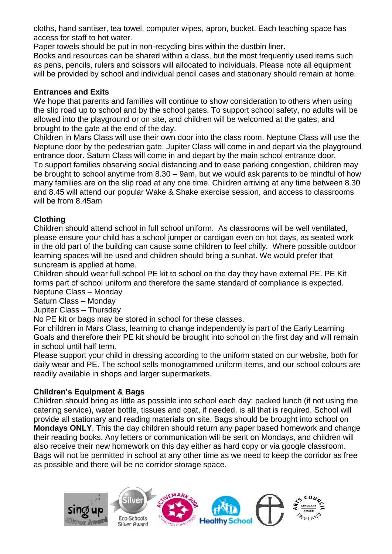cloths, hand santiser, tea towel, computer wipes, apron, bucket. Each teaching space has access for staff to hot water.

Paper towels should be put in non-recycling bins within the dustbin liner.

Books and resources can be shared within a class, but the most frequently used items such as pens, pencils, rulers and scissors will allocated to individuals. Please note all equipment will be provided by school and individual pencil cases and stationary should remain at home.

### **Entrances and Exits**

We hope that parents and families will continue to show consideration to others when using the slip road up to school and by the school gates. To support school safety, no adults will be allowed into the playground or on site, and children will be welcomed at the gates, and brought to the gate at the end of the day.

Children in Mars Class will use their own door into the class room. Neptune Class will use the Neptune door by the pedestrian gate. Jupiter Class will come in and depart via the playground entrance door. Saturn Class will come in and depart by the main school entrance door.

To support families observing social distancing and to ease parking congestion, children may be brought to school anytime from 8.30 – 9am, but we would ask parents to be mindful of how many families are on the slip road at any one time. Children arriving at any time between 8.30 and 8.45 will attend our popular Wake & Shake exercise session, and access to classrooms will be from 8.45am

# **Clothing**

Children should attend school in full school uniform. As classrooms will be well ventilated, please ensure your child has a school jumper or cardigan even on hot days, as seated work in the old part of the building can cause some children to feel chilly. Where possible outdoor learning spaces will be used and children should bring a sunhat. We would prefer that suncream is applied at home.

Children should wear full school PE kit to school on the day they have external PE. PE Kit forms part of school uniform and therefore the same standard of compliance is expected. Neptune Class – Monday

Saturn Class – Monday

Jupiter Class – Thursday

No PE kit or bags may be stored in school for these classes.

For children in Mars Class, learning to change independently is part of the Early Learning Goals and therefore their PE kit should be brought into school on the first day and will remain in school until half term.

Please support your child in dressing according to the uniform stated on our website, both for daily wear and PE. The school sells monogrammed uniform items, and our school colours are readily available in shops and larger supermarkets.

# **Children's Equipment & Bags**

Children should bring as little as possible into school each day: packed lunch (if not using the catering service), water bottle, tissues and coat, if needed, is all that is required. School will provide all stationary and reading materials on site. Bags should be brought into school on **Mondays ONLY**. This the day children should return any paper based homework and change their reading books. Any letters or communication will be sent on Mondays, and children will also receive their new homework on this day either as hard copy or via google classroom. Bags will not be permitted in school at any other time as we need to keep the corridor as free as possible and there will be no corridor storage space.

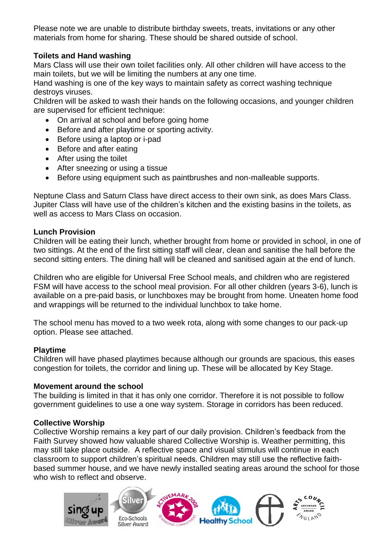Please note we are unable to distribute birthday sweets, treats, invitations or any other materials from home for sharing. These should be shared outside of school.

### **Toilets and Hand washing**

Mars Class will use their own toilet facilities only. All other children will have access to the main toilets, but we will be limiting the numbers at any one time.

Hand washing is one of the key ways to maintain safety as correct washing technique destroys viruses.

Children will be asked to wash their hands on the following occasions, and younger children are supervised for efficient technique:

- On arrival at school and before going home
- Before and after playtime or sporting activity.
- Before using a laptop or i-pad
- Before and after eating
- After using the toilet
- After sneezing or using a tissue
- Before using equipment such as paintbrushes and non-malleable supports.

Neptune Class and Saturn Class have direct access to their own sink, as does Mars Class. Jupiter Class will have use of the children's kitchen and the existing basins in the toilets, as well as access to Mars Class on occasion.

#### **Lunch Provision**

Children will be eating their lunch, whether brought from home or provided in school, in one of two sittings. At the end of the first sitting staff will clear, clean and sanitise the hall before the second sitting enters. The dining hall will be cleaned and sanitised again at the end of lunch.

Children who are eligible for Universal Free School meals, and children who are registered FSM will have access to the school meal provision. For all other children (years 3-6), lunch is available on a pre-paid basis, or lunchboxes may be brought from home. Uneaten home food and wrappings will be returned to the individual lunchbox to take home.

The school menu has moved to a two week rota, along with some changes to our pack-up option. Please see attached.

#### **Playtime**

Children will have phased playtimes because although our grounds are spacious, this eases congestion for toilets, the corridor and lining up. These will be allocated by Key Stage.

#### **Movement around the school**

The building is limited in that it has only one corridor. Therefore it is not possible to follow government guidelines to use a one way system. Storage in corridors has been reduced.

#### **Collective Worship**

Collective Worship remains a key part of our daily provision. Children's feedback from the Faith Survey showed how valuable shared Collective Worship is. Weather permitting, this may still take place outside. A reflective space and visual stimulus will continue in each classroom to support children's spiritual needs. Children may still use the reflective faithbased summer house, and we have newly installed seating areas around the school for those who wish to reflect and observe.

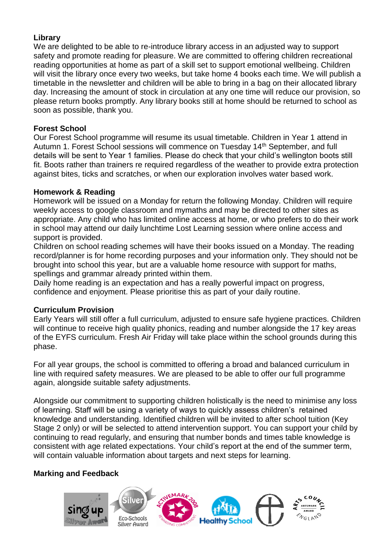### **Library**

We are delighted to be able to re-introduce library access in an adjusted way to support safety and promote reading for pleasure. We are committed to offering children recreational reading opportunities at home as part of a skill set to support emotional wellbeing. Children will visit the library once every two weeks, but take home 4 books each time. We will publish a timetable in the newsletter and children will be able to bring in a bag on their allocated library day. Increasing the amount of stock in circulation at any one time will reduce our provision, so please return books promptly. Any library books still at home should be returned to school as soon as possible, thank you.

#### **Forest School**

Our Forest School programme will resume its usual timetable. Children in Year 1 attend in Autumn 1. Forest School sessions will commence on Tuesday 14<sup>th</sup> September, and full details will be sent to Year 1 families. Please do check that your child's wellington boots still fit. Boots rather than trainers re required regardless of the weather to provide extra protection against bites, ticks and scratches, or when our exploration involves water based work.

#### **Homework & Reading**

Homework will be issued on a Monday for return the following Monday. Children will require weekly access to google classroom and mymaths and may be directed to other sites as appropriate. Any child who has limited online access at home, or who prefers to do their work in school may attend our daily lunchtime Lost Learning session where online access and support is provided.

Children on school reading schemes will have their books issued on a Monday. The reading record/planner is for home recording purposes and your information only. They should not be brought into school this year, but are a valuable home resource with support for maths, spellings and grammar already printed within them.

Daily home reading is an expectation and has a really powerful impact on progress, confidence and enjoyment. Please prioritise this as part of your daily routine.

#### **Curriculum Provision**

Early Years will still offer a full curriculum, adjusted to ensure safe hygiene practices. Children will continue to receive high quality phonics, reading and number alongside the 17 key areas of the EYFS curriculum. Fresh Air Friday will take place within the school grounds during this phase.

For all year groups, the school is committed to offering a broad and balanced curriculum in line with required safety measures. We are pleased to be able to offer our full programme again, alongside suitable safety adjustments.

Alongside our commitment to supporting children holistically is the need to minimise any loss of learning. Staff will be using a variety of ways to quickly assess children's retained knowledge and understanding. Identified children will be invited to after school tuition (Key Stage 2 only) or will be selected to attend intervention support. You can support your child by continuing to read regularly, and ensuring that number bonds and times table knowledge is consistent with age related expectations. Your child's report at the end of the summer term, will contain valuable information about targets and next steps for learning.

#### **Marking and Feedback**

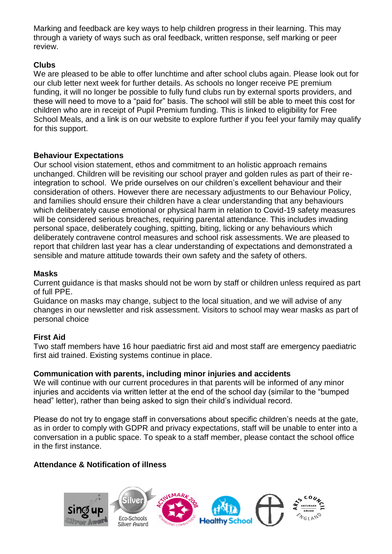Marking and feedback are key ways to help children progress in their learning. This may through a variety of ways such as oral feedback, written response, self marking or peer review.

### **Clubs**

We are pleased to be able to offer lunchtime and after school clubs again. Please look out for our club letter next week for further details. As schools no longer receive PE premium funding, it will no longer be possible to fully fund clubs run by external sports providers, and these will need to move to a "paid for" basis. The school will still be able to meet this cost for children who are in receipt of Pupil Premium funding. This is linked to eligibility for Free School Meals, and a link is on our website to explore further if you feel your family may qualify for this support.

#### **Behaviour Expectations**

Our school vision statement, ethos and commitment to an holistic approach remains unchanged. Children will be revisiting our school prayer and golden rules as part of their reintegration to school. We pride ourselves on our children's excellent behaviour and their consideration of others. However there are necessary adjustments to our Behaviour Policy, and families should ensure their children have a clear understanding that any behaviours which deliberately cause emotional or physical harm in relation to Covid-19 safety measures will be considered serious breaches, requiring parental attendance. This includes invading personal space, deliberately coughing, spitting, biting, licking or any behaviours which deliberately contravene control measures and school risk assessments. We are pleased to report that children last year has a clear understanding of expectations and demonstrated a sensible and mature attitude towards their own safety and the safety of others.

### **Masks**

Current guidance is that masks should not be worn by staff or children unless required as part of full PPE.

Guidance on masks may change, subject to the local situation, and we will advise of any changes in our newsletter and risk assessment. Visitors to school may wear masks as part of personal choice

#### **First Aid**

Two staff members have 16 hour paediatric first aid and most staff are emergency paediatric first aid trained. Existing systems continue in place.

# **Communication with parents, including minor injuries and accidents**

We will continue with our current procedures in that parents will be informed of any minor injuries and accidents via written letter at the end of the school day (similar to the "bumped head" letter), rather than being asked to sign their child's individual record.

Please do not try to engage staff in conversations about specific children's needs at the gate, as in order to comply with GDPR and privacy expectations, staff will be unable to enter into a conversation in a public space. To speak to a staff member, please contact the school office in the first instance.

# **Attendance & Notification of illness**

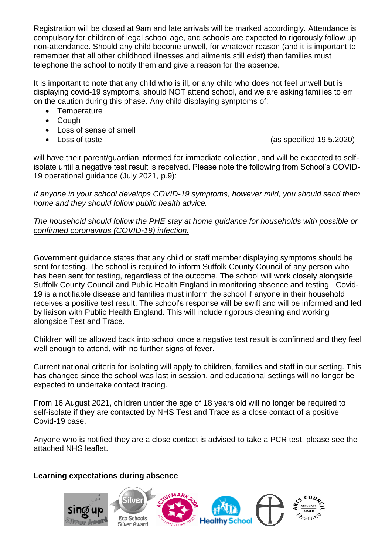Registration will be closed at 9am and late arrivals will be marked accordingly. Attendance is compulsory for children of legal school age, and schools are expected to rigorously follow up non-attendance. Should any child become unwell, for whatever reason (and it is important to remember that all other childhood illnesses and ailments still exist) then families must telephone the school to notify them and give a reason for the absence.

It is important to note that any child who is ill, or any child who does not feel unwell but is displaying covid-19 symptoms, should NOT attend school, and we are asking families to err on the caution during this phase. Any child displaying symptoms of:

- Temperature
- Cough
- Loss of sense of smell
- 

• Loss of taste (as specified 19.5.2020)

will have their parent/quardian informed for immediate collection, and will be expected to selfisolate until a negative test result is received. Please note the following from School's COVID-19 operational guidance (July 2021, p.9):

*If anyone in your school develops COVID-19 symptoms, however mild, you should send them home and they should follow public health advice.*

#### *The household should follow the PHE stay at home guidance for households with possible or confirmed coronavirus (COVID-19) infection.*

Government guidance states that any child or staff member displaying symptoms should be sent for testing. The school is required to inform Suffolk County Council of any person who has been sent for testing, regardless of the outcome. The school will work closely alongside Suffolk County Council and Public Health England in monitoring absence and testing. Covid-19 is a notifiable disease and families must inform the school if anyone in their household receives a positive test result. The school's response will be swift and will be informed and led by liaison with Public Health England. This will include rigorous cleaning and working alongside Test and Trace.

Children will be allowed back into school once a negative test result is confirmed and they feel well enough to attend, with no further signs of fever.

Current national criteria for isolating will apply to children, families and staff in our setting. This has changed since the school was last in session, and educational settings will no longer be expected to undertake contact tracing.

From 16 August 2021, children under the age of 18 years old will no longer be required to self-isolate if they are contacted by NHS Test and Trace as a close contact of a positive Covid-19 case.

Anyone who is notified they are a close contact is advised to take a PCR test, please see the attached NHS leaflet.

# **Learning expectations during absence**